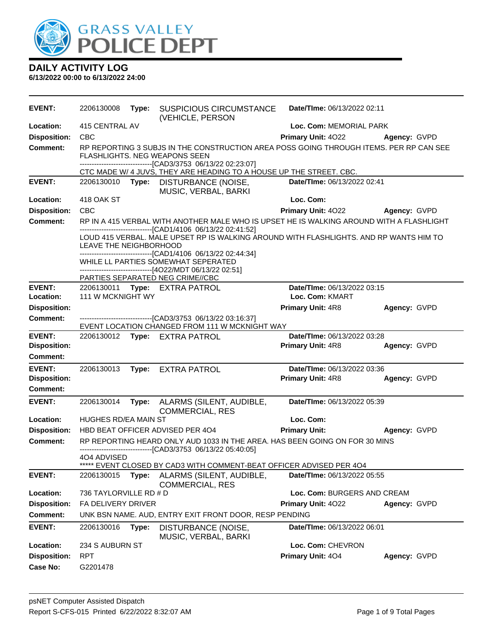

| <b>EVENT:</b>       | 2206130008             | Type: | <b>SUSPICIOUS CIRCUMSTANCE</b><br>(VEHICLE, PERSON                                                                                                                                                                                                                                                                                                            | Date/TIme: 06/13/2022 02:11 |              |
|---------------------|------------------------|-------|---------------------------------------------------------------------------------------------------------------------------------------------------------------------------------------------------------------------------------------------------------------------------------------------------------------------------------------------------------------|-----------------------------|--------------|
| Location:           | 415 CENTRAL AV         |       |                                                                                                                                                                                                                                                                                                                                                               | Loc. Com: MEMORIAL PARK     |              |
| <b>Disposition:</b> | <b>CBC</b>             |       |                                                                                                                                                                                                                                                                                                                                                               | Primary Unit: 4022          | Agency: GVPD |
| Comment:            |                        |       | RP REPORTING 3 SUBJS IN THE CONSTRUCTION AREA POSS GOING THROUGH ITEMS. PER RP CAN SEE<br><b>FLASHLIGHTS. NEG WEAPONS SEEN</b><br>-------------------------------[CAD3/3753_06/13/22_02:23:07]                                                                                                                                                                |                             |              |
|                     |                        |       | CTC MADE W/ 4 JUVS, THEY ARE HEADING TO A HOUSE UP THE STREET. CBC.                                                                                                                                                                                                                                                                                           |                             |              |
| <b>EVENT:</b>       | 2206130010             |       | Type: DISTURBANCE (NOISE,<br>MUSIC, VERBAL, BARKI                                                                                                                                                                                                                                                                                                             | Date/TIme: 06/13/2022 02:41 |              |
| Location:           | 418 OAK ST             |       |                                                                                                                                                                                                                                                                                                                                                               | Loc. Com:                   |              |
| <b>Disposition:</b> | <b>CBC</b>             |       |                                                                                                                                                                                                                                                                                                                                                               | <b>Primary Unit: 4022</b>   | Agency: GVPD |
| <b>Comment:</b>     |                        |       | RP IN A 415 VERBAL WITH ANOTHER MALE WHO IS UPSET HE IS WALKING AROUND WITH A FLASHLIGHT                                                                                                                                                                                                                                                                      |                             |              |
|                     | LEAVE THE NEIGHBORHOOD |       | -------------------------------[CAD1/4106 06/13/22 02:41:52]<br>LOUD 415 VERBAL. MALE UPSET RP IS WALKING AROUND WITH FLASHLIGHTS. AND RP WANTS HIM TO<br>-------------------------------[CAD1/4106 06/13/22 02:44:34]<br>WHILE LL PARTIES SOMEWHAT SEPERATED<br>-------------------------------[4O22/MDT 06/13/22 02:51]<br>PARTIES SEPARATED NEG CRIME//CBC |                             |              |
| <b>EVENT:</b>       |                        |       | 2206130011 Type: EXTRA PATROL                                                                                                                                                                                                                                                                                                                                 | Date/TIme: 06/13/2022 03:15 |              |
| Location:           | 111 W MCKNIGHT WY      |       |                                                                                                                                                                                                                                                                                                                                                               | Loc. Com: KMART             |              |
| <b>Disposition:</b> |                        |       |                                                                                                                                                                                                                                                                                                                                                               | Primary Unit: 4R8           | Agency: GVPD |
| <b>Comment:</b>     |                        |       | -------------------------------[CAD3/3753 06/13/22 03:16:37]                                                                                                                                                                                                                                                                                                  |                             |              |
|                     |                        |       | EVENT LOCATION CHANGED FROM 111 W MCKNIGHT WAY                                                                                                                                                                                                                                                                                                                |                             |              |
| <b>EVENT:</b>       |                        |       | 2206130012 Type: EXTRA PATROL                                                                                                                                                                                                                                                                                                                                 | Date/TIme: 06/13/2022 03:28 |              |
| <b>Disposition:</b> |                        |       |                                                                                                                                                                                                                                                                                                                                                               | Primary Unit: 4R8           | Agency: GVPD |
| <b>Comment:</b>     |                        |       |                                                                                                                                                                                                                                                                                                                                                               |                             |              |
| <b>EVENT:</b>       | 2206130013             |       | Type: EXTRA PATROL                                                                                                                                                                                                                                                                                                                                            | Date/TIme: 06/13/2022 03:36 |              |
| <b>Disposition:</b> |                        |       |                                                                                                                                                                                                                                                                                                                                                               | Primary Unit: 4R8           | Agency: GVPD |
| Comment:            |                        |       |                                                                                                                                                                                                                                                                                                                                                               |                             |              |
| <b>EVENT:</b>       | 2206130014             | Type: | ALARMS (SILENT, AUDIBLE,<br><b>COMMERCIAL, RES</b>                                                                                                                                                                                                                                                                                                            | Date/TIme: 06/13/2022 05:39 |              |
| Location:           | HUGHES RD/EA MAIN ST   |       |                                                                                                                                                                                                                                                                                                                                                               | Loc. Com:                   |              |
| <b>Disposition:</b> |                        |       | HBD BEAT OFFICER ADVISED PER 404                                                                                                                                                                                                                                                                                                                              | <b>Primary Unit:</b>        | Agency: GVPD |
| <b>Comment:</b>     | 404 ADVISED            |       | RP REPORTING HEARD ONLY AUD 1033 IN THE AREA. HAS BEEN GOING ON FOR 30 MINS<br>------------------------------[CAD3/3753_06/13/22_05:40:05]                                                                                                                                                                                                                    |                             |              |
|                     |                        |       | EVENT CLOSED BY CAD3 WITH COMMENT-BEAT OFFICER ADVISED PER 4O4                                                                                                                                                                                                                                                                                                |                             |              |
| <b>EVENT:</b>       | 2206130015             | Type: | ALARMS (SILENT, AUDIBLE,<br><b>COMMERCIAL, RES</b>                                                                                                                                                                                                                                                                                                            | Date/TIme: 06/13/2022 05:55 |              |
| Location:           | 736 TAYLORVILLE RD # D |       |                                                                                                                                                                                                                                                                                                                                                               | Loc. Com: BURGERS AND CREAM |              |
| <b>Disposition:</b> | FA DELIVERY DRIVER     |       |                                                                                                                                                                                                                                                                                                                                                               | Primary Unit: 4022          | Agency: GVPD |
| <b>Comment:</b>     |                        |       | UNK BSN NAME. AUD, ENTRY EXIT FRONT DOOR, RESP PENDING                                                                                                                                                                                                                                                                                                        |                             |              |
| <b>EVENT:</b>       | 2206130016             | Type: | DISTURBANCE (NOISE,<br>MUSIC, VERBAL, BARKI                                                                                                                                                                                                                                                                                                                   | Date/TIme: 06/13/2022 06:01 |              |
| Location:           | 234 S AUBURN ST        |       |                                                                                                                                                                                                                                                                                                                                                               | Loc. Com: CHEVRON           |              |
| <b>Disposition:</b> | <b>RPT</b>             |       |                                                                                                                                                                                                                                                                                                                                                               | Primary Unit: 404           | Agency: GVPD |
| <b>Case No:</b>     | G2201478               |       |                                                                                                                                                                                                                                                                                                                                                               |                             |              |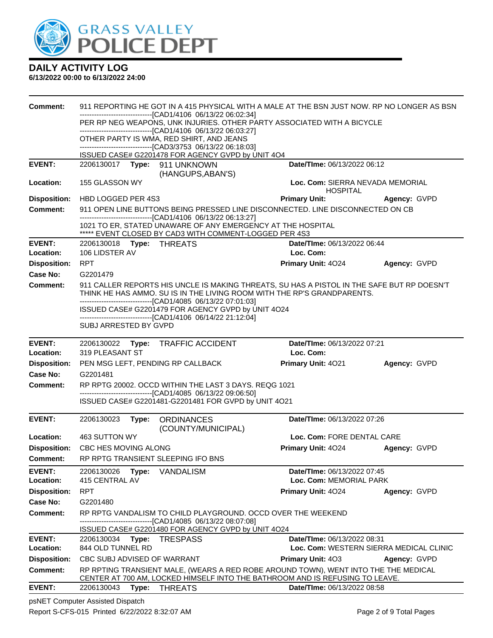

### **6/13/2022 00:00 to 6/13/2022 24:00**

| Comment:                        | 911 REPORTING HE GOT IN A 415 PHYSICAL WITH A MALE AT THE BSN JUST NOW. RP NO LONGER AS BSN                                                                                                                                           |                                                     |                                         |  |  |
|---------------------------------|---------------------------------------------------------------------------------------------------------------------------------------------------------------------------------------------------------------------------------------|-----------------------------------------------------|-----------------------------------------|--|--|
|                                 | ------------------------------[CAD1/4106 06/13/22 06:02:34]<br>PER RP NEG WEAPONS, UNK INJURIES. OTHER PARTY ASSOCIATED WITH A BICYCLE                                                                                                |                                                     |                                         |  |  |
|                                 | ------------------------------[CAD1/4106 06/13/22 06:03:27]<br>OTHER PARTY IS WMA, RED SHIRT, AND JEANS<br>-------------------------------[CAD3/3753 06/13/22 06:18:03]                                                               |                                                     |                                         |  |  |
|                                 | ISSUED CASE# G2201478 FOR AGENCY GVPD by UNIT 4O4                                                                                                                                                                                     |                                                     |                                         |  |  |
| <b>EVENT:</b>                   |                                                                                                                                                                                                                                       | Date/TIme: 06/13/2022 06:12                         |                                         |  |  |
| Location:                       | (HANGUPS, ABAN'S)<br>155 GLASSON WY                                                                                                                                                                                                   | Loc. Com: SIERRA NEVADA MEMORIAL<br><b>HOSPITAL</b> |                                         |  |  |
| <b>Disposition:</b>             | HBD LOGGED PER 4S3                                                                                                                                                                                                                    | <b>Primary Unit:</b>                                | Agency: GVPD                            |  |  |
| <b>Comment:</b>                 | 911 OPEN LINE BUTTONS BEING PRESSED LINE DISCONNECTED. LINE DISCONNECTED ON CB                                                                                                                                                        |                                                     |                                         |  |  |
|                                 | -------------------------------[CAD1/4106 06/13/22 06:13:27]<br>1021 TO ER, STATED UNAWARE OF ANY EMERGENCY AT THE HOSPITAL<br>***** EVENT CLOSED BY CAD3 WITH COMMENT-LOGGED PER 4S3                                                 |                                                     |                                         |  |  |
| <b>EVENT:</b>                   | 2206130018 Type: THREATS                                                                                                                                                                                                              | Date/TIme: 06/13/2022 06:44                         |                                         |  |  |
| Location:                       | 106 LIDSTER AV                                                                                                                                                                                                                        | Loc. Com:                                           |                                         |  |  |
| <b>Disposition:</b>             | <b>RPT</b>                                                                                                                                                                                                                            | <b>Primary Unit: 4024</b>                           | Agency: GVPD                            |  |  |
| <b>Case No:</b>                 | G2201479                                                                                                                                                                                                                              |                                                     |                                         |  |  |
| Comment:                        | 911 CALLER REPORTS HIS UNCLE IS MAKING THREATS, SU HAS A PISTOL IN THE SAFE BUT RP DOESN'T<br>THINK HE HAS AMMO. SU IS IN THE LIVING ROOM WITH THE RP'S GRANDPARENTS.<br>-------------------------------[CAD1/4085 06/13/22 07:01:03] |                                                     |                                         |  |  |
|                                 | ISSUED CASE# G2201479 FOR AGENCY GVPD by UNIT 4O24                                                                                                                                                                                    |                                                     |                                         |  |  |
|                                 | -------------------------------[CAD1/4106 06/14/22 21:12:04]<br>SUBJ ARRESTED BY GVPD                                                                                                                                                 |                                                     |                                         |  |  |
| <b>EVENT:</b>                   | 2206130022 Type: TRAFFIC ACCIDENT                                                                                                                                                                                                     | Date/TIme: 06/13/2022 07:21                         |                                         |  |  |
| Location:                       | 319 PLEASANT ST                                                                                                                                                                                                                       | Loc. Com:                                           |                                         |  |  |
| <b>Disposition:</b>             | PEN MSG LEFT, PENDING RP CALLBACK                                                                                                                                                                                                     | Primary Unit: 4021                                  | Agency: GVPD                            |  |  |
| Case No:                        | G2201481                                                                                                                                                                                                                              |                                                     |                                         |  |  |
| <b>Comment:</b>                 | RP RPTG 20002. OCCD WITHIN THE LAST 3 DAYS. REQG 1021<br>-------------------------------[CAD1/4085 06/13/22 09:06:50]                                                                                                                 |                                                     |                                         |  |  |
|                                 | ISSUED CASE# G2201481-G2201481 FOR GVPD by UNIT 4O21                                                                                                                                                                                  |                                                     |                                         |  |  |
| <b>EVENT:</b>                   | 2206130023<br>Type: ORDINANCES                                                                                                                                                                                                        | Date/TIme: 06/13/2022 07:26                         |                                         |  |  |
|                                 | (COUNTY/MUNICIPAL)                                                                                                                                                                                                                    |                                                     |                                         |  |  |
| Location:                       | 463 SUTTON WY                                                                                                                                                                                                                         | Loc. Com: FORE DENTAL CARE                          |                                         |  |  |
| <b>Disposition:</b><br>Comment: | CBC HES MOVING ALONG<br>RP RPTG TRANSIENT SLEEPING IFO BNS                                                                                                                                                                            | Primary Unit: 4024                                  | Agency: GVPD                            |  |  |
| <b>EVENT:</b>                   |                                                                                                                                                                                                                                       | Date/TIme: 06/13/2022 07:45                         |                                         |  |  |
| Location:                       | 2206130026<br>Type:<br>VANDALISM<br>415 CENTRAL AV                                                                                                                                                                                    | Loc. Com: MEMORIAL PARK                             |                                         |  |  |
| <b>Disposition:</b>             | <b>RPT</b>                                                                                                                                                                                                                            | Primary Unit: 4024                                  | Agency: GVPD                            |  |  |
| <b>Case No:</b>                 | G2201480                                                                                                                                                                                                                              |                                                     |                                         |  |  |
| <b>Comment:</b>                 | RP RPTG VANDALISM TO CHILD PLAYGROUND. OCCD OVER THE WEEKEND                                                                                                                                                                          |                                                     |                                         |  |  |
|                                 | -----------------------------[CAD1/4085_06/13/22_08:07:08]<br>ISSUED CASE# G2201480 FOR AGENCY GVPD by UNIT 4O24                                                                                                                      |                                                     |                                         |  |  |
| <b>EVENT:</b>                   | Type:<br>2206130034<br>TRESPASS                                                                                                                                                                                                       | Date/TIme: 06/13/2022 08:31                         |                                         |  |  |
| Location:                       | 844 OLD TUNNEL RD                                                                                                                                                                                                                     |                                                     | Loc. Com: WESTERN SIERRA MEDICAL CLINIC |  |  |
| <b>Disposition:</b>             | CBC SUBJ ADVISED OF WARRANT                                                                                                                                                                                                           | Primary Unit: 403                                   | Agency: GVPD                            |  |  |
| <b>Comment:</b>                 | RP RPTING TRANSIENT MALE, (WEARS A RED ROBE AROUND TOWN), WENT INTO THE THE MEDICAL                                                                                                                                                   |                                                     |                                         |  |  |
|                                 | CENTER AT 700 AM, LOCKED HIMSELF INTO THE BATHROOM AND IS REFUSING TO LEAVE.                                                                                                                                                          |                                                     |                                         |  |  |
| <b>EVENT:</b>                   | 2206130043<br>Type:<br><b>THREATS</b>                                                                                                                                                                                                 | Date/TIme: 06/13/2022 08:58                         |                                         |  |  |

psNET Computer Assisted Dispatch Report S-CFS-015 Printed 6/22/2022 8:32:07 AM Page 2 of 9 Total Pages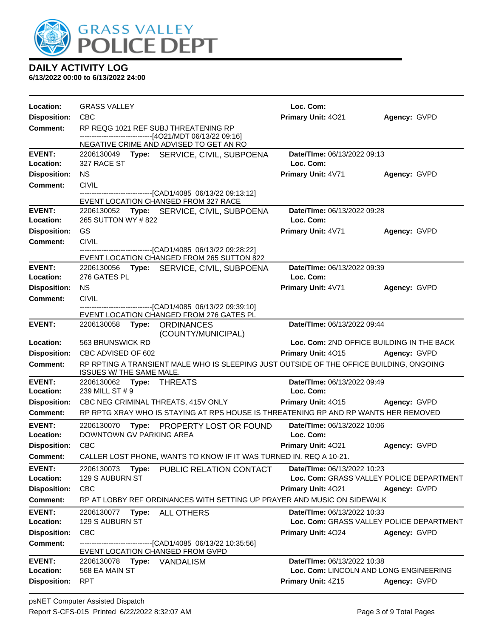

| <b>Location:</b>                 | <b>GRASS VALLEY</b>                                                                                                 | Loc. Com:                                                    |              |
|----------------------------------|---------------------------------------------------------------------------------------------------------------------|--------------------------------------------------------------|--------------|
| <b>Disposition:</b>              | <b>CBC</b>                                                                                                          | Primary Unit: 4021                                           | Agency: GVPD |
| <b>Comment:</b>                  | RP REQG 1021 REF SUBJ THREATENING RP                                                                                |                                                              |              |
|                                  | ------------------------------[4O21/MDT 06/13/22 09:16]<br>NEGATIVE CRIME AND ADVISED TO GET AN RO                  |                                                              |              |
| <b>EVENT:</b>                    | 2206130049 Type: SERVICE, CIVIL, SUBPOENA                                                                           | Date/TIme: 06/13/2022 09:13                                  |              |
| Location:                        | 327 RACE ST                                                                                                         | Loc. Com:                                                    |              |
| <b>Disposition:</b>              | <b>NS</b>                                                                                                           | Primary Unit: 4V71                                           | Agency: GVPD |
| Comment:                         | <b>CIVIL</b>                                                                                                        |                                                              |              |
|                                  | -------------------------------[CAD1/4085 06/13/22 09:13:12]                                                        |                                                              |              |
|                                  | EVENT LOCATION CHANGED FROM 327 RACE                                                                                |                                                              |              |
| <b>EVENT:</b>                    | 2206130052 Type: SERVICE, CIVIL, SUBPOENA                                                                           | Date/TIme: 06/13/2022 09:28                                  |              |
| Location:                        | 265 SUTTON WY #822                                                                                                  | Loc. Com:                                                    |              |
| <b>Disposition:</b>              | <b>GS</b>                                                                                                           | Primary Unit: 4V71                                           | Agency: GVPD |
| <b>Comment:</b>                  | <b>CIVIL</b><br>-------------------------------[CAD1/4085 06/13/22 09:28:22]                                        |                                                              |              |
|                                  | EVENT LOCATION CHANGED FROM 265 SUTTON 822                                                                          |                                                              |              |
| <b>EVENT:</b>                    | 2206130056 Type: SERVICE, CIVIL, SUBPOENA                                                                           | Date/TIme: 06/13/2022 09:39                                  |              |
| Location:                        | 276 GATES PL                                                                                                        | Loc. Com:                                                    |              |
| <b>Disposition:</b>              | <b>NS</b>                                                                                                           | Primary Unit: 4V71                                           | Agency: GVPD |
| <b>Comment:</b>                  | <b>CIVIL</b>                                                                                                        |                                                              |              |
|                                  | -----------------[CAD1/4085 06/13/22 09:39:10]<br>EVENT LOCATION CHANGED FROM 276 GATES PL                          |                                                              |              |
| <b>EVENT:</b>                    | 2206130058 Type: ORDINANCES                                                                                         | Date/TIme: 06/13/2022 09:44                                  |              |
|                                  | (COUNTY/MUNICIPAL)                                                                                                  |                                                              |              |
| Location:                        | 563 BRUNSWICK RD                                                                                                    |                                                              |              |
|                                  |                                                                                                                     | Loc. Com: 2ND OFFICE BUILDING IN THE BACK                    |              |
| <b>Disposition:</b>              | CBC ADVISED OF 602                                                                                                  | Primary Unit: 4015                                           | Agency: GVPD |
| <b>Comment:</b>                  | RP RPTING A TRANSIENT MALE WHO IS SLEEPING JUST OUTSIDE OF THE OFFICE BUILDING, ONGOING<br>ISSUES W/ THE SAME MALE. |                                                              |              |
| <b>EVENT:</b>                    | 2206130062 Type: THREATS                                                                                            | Date/TIme: 06/13/2022 09:49                                  |              |
| Location:                        | 239 MILL ST # 9                                                                                                     | Loc. Com:                                                    |              |
| <b>Disposition:</b>              | CBC NEG CRIMINAL THREATS, 415V ONLY                                                                                 | Primary Unit: 4015                                           | Agency: GVPD |
| <b>Comment:</b>                  | RP RPTG XRAY WHO IS STAYING AT RPS HOUSE IS THREATENING RP AND RP WANTS HER REMOVED                                 |                                                              |              |
| <b>EVENT:</b>                    | 2206130070<br>Type: PROPERTY LOST OR FOUND                                                                          | Date/TIme: 06/13/2022 10:06                                  |              |
| Location:                        | DOWNTOWN GV PARKING AREA                                                                                            | Loc. Com:                                                    |              |
| <b>Disposition:</b>              | CBC                                                                                                                 | <b>Primary Unit: 4021</b>                                    | Agency: GVPD |
| Comment:                         | CALLER LOST PHONE, WANTS TO KNOW IF IT WAS TURNED IN. REQ A 10-21.                                                  |                                                              |              |
| <b>EVENT:</b>                    | 2206130073<br>Type:<br>PUBLIC RELATION CONTACT                                                                      | Date/TIme: 06/13/2022 10:23                                  |              |
| Location:                        | 129 S AUBURN ST                                                                                                     | Loc. Com: GRASS VALLEY POLICE DEPARTMENT                     |              |
| <b>Disposition:</b>              | <b>CBC</b>                                                                                                          | Primary Unit: 4021                                           | Agency: GVPD |
| <b>Comment:</b>                  | RP AT LOBBY REF ORDINANCES WITH SETTING UP PRAYER AND MUSIC ON SIDEWALK                                             |                                                              |              |
| <b>EVENT:</b>                    | 2206130077<br><b>ALL OTHERS</b><br>Type:                                                                            | Date/TIme: 06/13/2022 10:33                                  |              |
| Location:                        | 129 S AUBURN ST                                                                                                     | Loc. Com: GRASS VALLEY POLICE DEPARTMENT                     |              |
| <b>Disposition:</b>              | CBC                                                                                                                 | Primary Unit: 4024                                           | Agency: GVPD |
| <b>Comment:</b>                  | -----------------[CAD1/4085_06/13/22 10:35:56]<br>EVENT LOCATION CHANGED FROM GVPD                                  |                                                              |              |
| <b>EVENT:</b>                    | 2206130078<br><b>Type: VANDALISM</b>                                                                                | Date/TIme: 06/13/2022 10:38                                  |              |
| Location:<br><b>Disposition:</b> | 568 EA MAIN ST<br><b>RPT</b>                                                                                        | Loc. Com: LINCOLN AND LONG ENGINEERING<br>Primary Unit: 4Z15 | Agency: GVPD |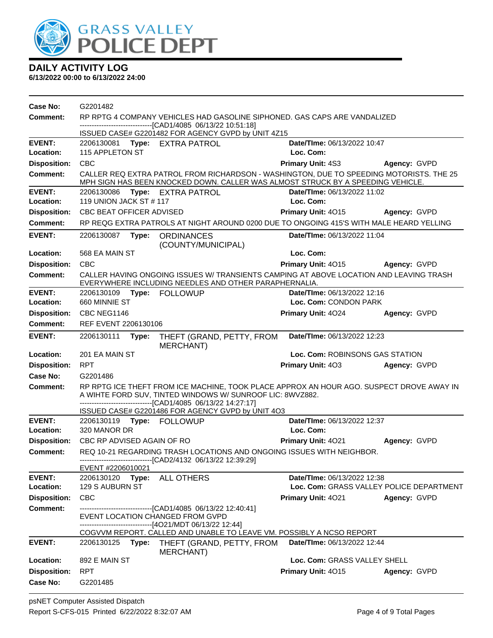

| Case No:                   | G2201482                                                                                                                                  |                                                                                                                                                                                                                                                                            |                                                                         |                     |  |
|----------------------------|-------------------------------------------------------------------------------------------------------------------------------------------|----------------------------------------------------------------------------------------------------------------------------------------------------------------------------------------------------------------------------------------------------------------------------|-------------------------------------------------------------------------|---------------------|--|
| Comment:                   | RP RPTG 4 COMPANY VEHICLES HAD GASOLINE SIPHONED. GAS CAPS ARE VANDALIZED<br>-------------------------------[CAD1/4085 06/13/22 10:51:18] |                                                                                                                                                                                                                                                                            |                                                                         |                     |  |
|                            |                                                                                                                                           | ISSUED CASE# G2201482 FOR AGENCY GVPD by UNIT 4Z15                                                                                                                                                                                                                         |                                                                         |                     |  |
| <b>EVENT:</b>              | 2206130081 Type: EXTRA PATROL                                                                                                             |                                                                                                                                                                                                                                                                            | Date/TIme: 06/13/2022 10:47                                             |                     |  |
| Location:                  | 115 APPLETON ST                                                                                                                           |                                                                                                                                                                                                                                                                            | Loc. Com:                                                               |                     |  |
| <b>Disposition:</b>        | <b>CBC</b>                                                                                                                                |                                                                                                                                                                                                                                                                            | <b>Primary Unit: 4S3</b>                                                | Agency: GVPD        |  |
| <b>Comment:</b>            |                                                                                                                                           | CALLER REQ EXTRA PATROL FROM RICHARDSON - WASHINGTON, DUE TO SPEEDING MOTORISTS. THE 25<br>MPH SIGN HAS BEEN KNOCKED DOWN. CALLER WAS ALMOST STRUCK BY A SPEEDING VEHICLE.                                                                                                 |                                                                         |                     |  |
| <b>EVENT:</b>              | 2206130086 Type: EXTRA PATROL                                                                                                             |                                                                                                                                                                                                                                                                            | Date/TIme: 06/13/2022 11:02                                             |                     |  |
| Location:                  | 119 UNION JACK ST # 117                                                                                                                   |                                                                                                                                                                                                                                                                            | Loc. Com:                                                               |                     |  |
| <b>Disposition:</b>        | CBC BEAT OFFICER ADVISED                                                                                                                  |                                                                                                                                                                                                                                                                            | Primary Unit: 4015                                                      | Agency: GVPD        |  |
| <b>Comment:</b>            |                                                                                                                                           | RP REQG EXTRA PATROLS AT NIGHT AROUND 0200 DUE TO ONGOING 415'S WITH MALE HEARD YELLING                                                                                                                                                                                    |                                                                         |                     |  |
| <b>EVENT:</b>              | 2206130087<br>Type:                                                                                                                       | <b>ORDINANCES</b><br>(COUNTY/MUNICIPAL)                                                                                                                                                                                                                                    | Date/TIme: 06/13/2022 11:04                                             |                     |  |
| Location:                  | 568 EA MAIN ST                                                                                                                            |                                                                                                                                                                                                                                                                            | Loc. Com:                                                               |                     |  |
| <b>Disposition:</b>        | <b>CBC</b>                                                                                                                                |                                                                                                                                                                                                                                                                            | Primary Unit: 4015                                                      | <b>Agency: GVPD</b> |  |
| <b>Comment:</b>            |                                                                                                                                           | CALLER HAVING ONGOING ISSUES W/ TRANSIENTS CAMPING AT ABOVE LOCATION AND LEAVING TRASH<br>EVERYWHERE INCLUDING NEEDLES AND OTHER PARAPHERNALIA.                                                                                                                            |                                                                         |                     |  |
| <b>EVENT:</b>              |                                                                                                                                           |                                                                                                                                                                                                                                                                            | Date/TIme: 06/13/2022 12:16                                             |                     |  |
| Location:                  | 660 MINNIE ST                                                                                                                             |                                                                                                                                                                                                                                                                            | Loc. Com: CONDON PARK                                                   |                     |  |
| <b>Disposition:</b>        | CBC NEG1146                                                                                                                               |                                                                                                                                                                                                                                                                            | <b>Primary Unit: 4024</b>                                               | Agency: GVPD        |  |
| Comment:                   | REF EVENT 2206130106                                                                                                                      |                                                                                                                                                                                                                                                                            |                                                                         |                     |  |
| <b>EVENT:</b>              | 2206130111<br>Type:                                                                                                                       | THEFT (GRAND, PETTY, FROM<br>MERCHANT)                                                                                                                                                                                                                                     | Date/TIme: 06/13/2022 12:23                                             |                     |  |
| Location:                  | 201 EA MAIN ST                                                                                                                            |                                                                                                                                                                                                                                                                            | Loc. Com: ROBINSONS GAS STATION                                         |                     |  |
| <b>Disposition:</b>        | <b>RPT</b>                                                                                                                                |                                                                                                                                                                                                                                                                            | <b>Primary Unit: 403</b>                                                | Agency: GVPD        |  |
| Case No:                   | G2201486                                                                                                                                  |                                                                                                                                                                                                                                                                            |                                                                         |                     |  |
| Comment:                   |                                                                                                                                           | RP RPTG ICE THEFT FROM ICE MACHINE, TOOK PLACE APPROX AN HOUR AGO. SUSPECT DROVE AWAY IN<br>A WIHTE FORD SUV, TINTED WINDOWS W/ SUNROOF LIC: 8WVZ882.<br>-------------------------------[CAD1/4085 06/13/22 14:27:17]<br>ISSUED CASE# G2201486 FOR AGENCY GVPD by UNIT 4O3 |                                                                         |                     |  |
| <b>EVENT:</b>              |                                                                                                                                           |                                                                                                                                                                                                                                                                            | Date/TIme: 06/13/2022 12:37                                             |                     |  |
| Location:                  | 320 MANOR DR                                                                                                                              |                                                                                                                                                                                                                                                                            | Loc. Com:                                                               |                     |  |
| <b>Disposition:</b>        | CBC RP ADVISED AGAIN OF RO                                                                                                                |                                                                                                                                                                                                                                                                            | <b>Primary Unit: 4021</b>                                               | Agency: GVPD        |  |
| <b>Comment:</b>            |                                                                                                                                           | REQ 10-21 REGARDING TRASH LOCATIONS AND ONGOING ISSUES WITH NEIGHBOR.<br>--------------------------[CAD2/4132 06/13/22 12:39:29]                                                                                                                                           |                                                                         |                     |  |
|                            | EVENT #2206010021                                                                                                                         |                                                                                                                                                                                                                                                                            |                                                                         |                     |  |
| <b>EVENT:</b><br>Location: | 2206130120<br>Type:<br>129 S AUBURN ST                                                                                                    | ALL OTHERS                                                                                                                                                                                                                                                                 | Date/TIme: 06/13/2022 12:38<br>Loc. Com: GRASS VALLEY POLICE DEPARTMENT |                     |  |
| <b>Disposition:</b>        | <b>CBC</b>                                                                                                                                |                                                                                                                                                                                                                                                                            | Primary Unit: 4021                                                      | Agency: GVPD        |  |
| <b>Comment:</b>            |                                                                                                                                           | -------------------------[CAD1/4085 06/13/22 12:40:41]<br>EVENT LOCATION CHANGED FROM GVPD<br>------------------------------[4O21/MDT 06/13/22 12:44]                                                                                                                      |                                                                         |                     |  |
|                            |                                                                                                                                           | COGVVM REPORT. CALLED AND UNABLE TO LEAVE VM. POSSIBLY A NCSO REPORT                                                                                                                                                                                                       |                                                                         |                     |  |
| <b>EVENT:</b>              | 2206130125                                                                                                                                | Type: THEFT (GRAND, PETTY, FROM<br>MERCHANT)                                                                                                                                                                                                                               | Date/TIme: 06/13/2022 12:44                                             |                     |  |
| Location:                  | 892 E MAIN ST                                                                                                                             |                                                                                                                                                                                                                                                                            | Loc. Com: GRASS VALLEY SHELL                                            |                     |  |
| <b>Disposition:</b>        | <b>RPT</b>                                                                                                                                |                                                                                                                                                                                                                                                                            | Primary Unit: 4015                                                      | Agency: GVPD        |  |
| Case No:                   | G2201485                                                                                                                                  |                                                                                                                                                                                                                                                                            |                                                                         |                     |  |
|                            |                                                                                                                                           |                                                                                                                                                                                                                                                                            |                                                                         |                     |  |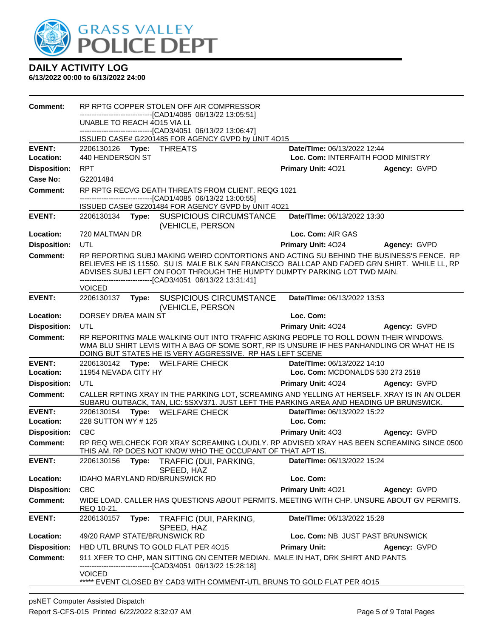

| <b>Comment:</b>     | RP RPTG COPPER STOLEN OFF AIR COMPRESSOR                                                                                                                                                                                                                                                                                               |                                           |
|---------------------|----------------------------------------------------------------------------------------------------------------------------------------------------------------------------------------------------------------------------------------------------------------------------------------------------------------------------------------|-------------------------------------------|
|                     | -------------------------------[CAD1/4085 06/13/22 13:05:51]<br>UNABLE TO REACH 4015 VIA LL                                                                                                                                                                                                                                            |                                           |
|                     | -------------------------------[CAD3/4051 06/13/22 13:06:47]                                                                                                                                                                                                                                                                           |                                           |
| <b>EVENT:</b>       | ISSUED CASE# G2201485 FOR AGENCY GVPD by UNIT 4O15<br>2206130126 Type: THREATS                                                                                                                                                                                                                                                         | Date/TIme: 06/13/2022 12:44               |
| Location:           | 440 HENDERSON ST                                                                                                                                                                                                                                                                                                                       | Loc. Com: INTERFAITH FOOD MINISTRY        |
| <b>Disposition:</b> | <b>RPT</b>                                                                                                                                                                                                                                                                                                                             | Primary Unit: 4021<br>Agency: GVPD        |
| Case No:            | G2201484                                                                                                                                                                                                                                                                                                                               |                                           |
| <b>Comment:</b>     | RP RPTG RECVG DEATH THREATS FROM CLIENT, REQG 1021                                                                                                                                                                                                                                                                                     |                                           |
|                     | -------------------------------[CAD1/4085 06/13/22 13:00:55]<br>ISSUED CASE# G2201484 FOR AGENCY GVPD by UNIT 4O21                                                                                                                                                                                                                     |                                           |
| <b>EVENT:</b>       | 2206130134 Type: SUSPICIOUS CIRCUMSTANCE                                                                                                                                                                                                                                                                                               | Date/TIme: 06/13/2022 13:30               |
|                     | (VEHICLE, PERSON                                                                                                                                                                                                                                                                                                                       |                                           |
| Location:           | 720 MALTMAN DR                                                                                                                                                                                                                                                                                                                         | Loc. Com: AIR GAS                         |
| <b>Disposition:</b> | <b>UTL</b>                                                                                                                                                                                                                                                                                                                             | <b>Primary Unit: 4024</b><br>Agency: GVPD |
| <b>Comment:</b>     | RP REPORTING SUBJ MAKING WEIRD CONTORTIONS AND ACTING SU BEHIND THE BUSINESS'S FENCE. RP<br>BELIEVES HE IS 11550. SU IS MALE BLK SAN FRANCISCO BALLCAP AND FADED GRN SHIRT. WHILE LL, RP<br>ADVISES SUBJ LEFT ON FOOT THROUGH THE HUMPTY DUMPTY PARKING LOT TWD MAIN.<br>--------------------------------[CAD3/4051 06/13/22 13:31:41] |                                           |
| <b>EVENT:</b>       | <b>VOICED</b><br>2206130137 Type: SUSPICIOUS CIRCUMSTANCE                                                                                                                                                                                                                                                                              | Date/TIme: 06/13/2022 13:53               |
|                     | (VEHICLE, PERSON                                                                                                                                                                                                                                                                                                                       |                                           |
| Location:           | DORSEY DR/EA MAIN ST                                                                                                                                                                                                                                                                                                                   | Loc. Com:                                 |
| <b>Disposition:</b> | UTL                                                                                                                                                                                                                                                                                                                                    | Primary Unit: 4024<br>Agency: GVPD        |
| <b>Comment:</b>     | RP REPORITNG MALE WALKING OUT INTO TRAFFIC ASKING PEOPLE TO ROLL DOWN THEIR WINDOWS.<br>WMA BLU SHIRT LEVIS WITH A BAG OF SOME SORT, RP IS UNSURE IF HES PANHANDLING OR WHAT HE IS<br>DOING BUT STATES HE IS VERY AGGRESSIVE. RP HAS LEFT SCENE                                                                                        |                                           |
| <b>EVENT:</b>       | 2206130142 Type: WELFARE CHECK                                                                                                                                                                                                                                                                                                         | Date/TIme: 06/13/2022 14:10               |
| Location:           | 11954 NEVADA CITY HY                                                                                                                                                                                                                                                                                                                   | Loc. Com: MCDONALDS 530 273 2518          |
| <b>Disposition:</b> | <b>UTL</b>                                                                                                                                                                                                                                                                                                                             | Primary Unit: 4024<br>Agency: GVPD        |
| <b>Comment:</b>     | CALLER RPTING XRAY IN THE PARKING LOT, SCREAMING AND YELLING AT HERSELF. XRAY IS IN AN OLDER<br>SUBARU OUTBACK, TAN, LIC: 5SXV371. JUST LEFT THE PARKING AREA AND HEADING UP BRUNSWICK.                                                                                                                                                |                                           |
| <b>EVENT:</b>       | 2206130154 Type: WELFARE CHECK                                                                                                                                                                                                                                                                                                         | Date/TIme: 06/13/2022 15:22               |
| Location:           | 228 SUTTON WY #125                                                                                                                                                                                                                                                                                                                     | Loc. Com:                                 |
| <b>Disposition:</b> | <b>CBC</b>                                                                                                                                                                                                                                                                                                                             | <b>Primary Unit: 403</b><br>Agency: GVPD  |
| <b>Comment:</b>     | RP REQ WELCHECK FOR XRAY SCREAMING LOUDLY. RP ADVISED XRAY HAS BEEN SCREAMING SINCE 0500<br>THIS AM. RP DOES NOT KNOW WHO THE OCCUPANT OF THAT APT IS.                                                                                                                                                                                 |                                           |
| <b>EVENT:</b>       | 2206130156 Type: TRAFFIC (DUI, PARKING,<br>SPEED, HAZ                                                                                                                                                                                                                                                                                  | Date/TIme: 06/13/2022 15:24               |
| Location:           | <b>IDAHO MARYLAND RD/BRUNSWICK RD</b>                                                                                                                                                                                                                                                                                                  | Loc. Com:                                 |
| <b>Disposition:</b> | <b>CBC</b>                                                                                                                                                                                                                                                                                                                             | Primary Unit: 4021<br>Agency: GVPD        |
| <b>Comment:</b>     | WIDE LOAD. CALLER HAS QUESTIONS ABOUT PERMITS. MEETING WITH CHP. UNSURE ABOUT GV PERMITS.<br>REQ 10-21.                                                                                                                                                                                                                                |                                           |
| <b>EVENT:</b>       | 2206130157<br>Type:<br>TRAFFIC (DUI, PARKING,<br>SPEED, HAZ                                                                                                                                                                                                                                                                            | Date/TIme: 06/13/2022 15:28               |
| Location:           | 49/20 RAMP STATE/BRUNSWICK RD                                                                                                                                                                                                                                                                                                          | Loc. Com: NB JUST PAST BRUNSWICK          |
| <b>Disposition:</b> | HBD UTL BRUNS TO GOLD FLAT PER 4015                                                                                                                                                                                                                                                                                                    | <b>Primary Unit:</b><br>Agency: GVPD      |
| <b>Comment:</b>     | 911 XFER TO CHP, MAN SITTING ON CENTER MEDIAN. MALE IN HAT, DRK SHIRT AND PANTS<br>----------------------[CAD3/4051_06/13/22 15:28:18]                                                                                                                                                                                                 |                                           |
|                     | <b>VOICED</b><br>***** EVENT CLOSED BY CAD3 WITH COMMENT-UTL BRUNS TO GOLD FLAT PER 4015                                                                                                                                                                                                                                               |                                           |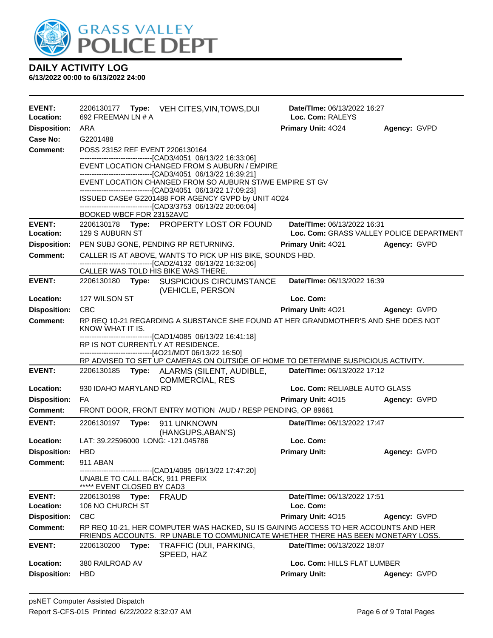

| EVENT:<br>Location:              | 692 FREEMAN LN # A                                            |       | 2206130177 Type: VEH CITES, VIN, TOWS, DUI                                                                                                                              | Date/Time: 06/13/2022 16:27<br>Loc. Com: RALEYS     |              |
|----------------------------------|---------------------------------------------------------------|-------|-------------------------------------------------------------------------------------------------------------------------------------------------------------------------|-----------------------------------------------------|--------------|
| <b>Disposition:</b>              | ARA                                                           |       |                                                                                                                                                                         | <b>Primary Unit: 4024</b>                           | Agency: GVPD |
| Case No:                         | G2201488                                                      |       |                                                                                                                                                                         |                                                     |              |
| <b>Comment:</b>                  | POSS 23152 REF EVENT 2206130164                               |       |                                                                                                                                                                         |                                                     |              |
|                                  |                                                               |       | -------------------------------[CAD3/4051 06/13/22 16:33:06]<br>EVENT LOCATION CHANGED FROM S AUBURN / EMPIRE                                                           |                                                     |              |
|                                  |                                                               |       | -------------------------------[CAD3/4051_06/13/22 16:39:21]<br>EVENT LOCATION CHANGED FROM SO AUBURN ST/WE EMPIRE ST GV                                                |                                                     |              |
|                                  |                                                               |       | --------------------------------[CAD3/4051 06/13/22 17:09:23]                                                                                                           |                                                     |              |
|                                  |                                                               |       | ISSUED CASE# G2201488 FOR AGENCY GVPD by UNIT 4O24<br>-------------------------------[CAD3/3753 06/13/22 20:06:04]                                                      |                                                     |              |
|                                  | BOOKED WBCF FOR 23152AVC                                      |       |                                                                                                                                                                         |                                                     |              |
| <b>EVENT:</b>                    |                                                               |       | 2206130178 Type: PROPERTY LOST OR FOUND                                                                                                                                 | Date/TIme: 06/13/2022 16:31                         |              |
| Location:                        | 129 S AUBURN ST                                               |       |                                                                                                                                                                         | Loc. Com: GRASS VALLEY POLICE DEPARTMENT            |              |
| <b>Disposition:</b>              |                                                               |       | PEN SUBJ GONE, PENDING RP RETURNING.                                                                                                                                    | <b>Primary Unit: 4021</b>                           | Agency: GVPD |
| Comment:                         |                                                               |       | CALLER IS AT ABOVE, WANTS TO PICK UP HIS BIKE, SOUNDS HBD.<br>-------------------------------[CAD2/4132 06/13/22 16:32:06]                                              |                                                     |              |
|                                  |                                                               |       | CALLER WAS TOLD HIS BIKE WAS THERE.                                                                                                                                     |                                                     |              |
| <b>EVENT:</b>                    |                                                               |       | 2206130180 Type: SUSPICIOUS CIRCUMSTANCE<br>(VEHICLE, PERSON                                                                                                            | Date/TIme: 06/13/2022 16:39                         |              |
| Location:                        | 127 WILSON ST                                                 |       |                                                                                                                                                                         | Loc. Com:                                           |              |
| <b>Disposition:</b>              | <b>CBC</b>                                                    |       |                                                                                                                                                                         | Primary Unit: 4021                                  | Agency: GVPD |
| <b>Comment:</b>                  | KNOW WHAT IT IS.                                              |       | RP REQ 10-21 REGARDING A SUBSTANCE SHE FOUND AT HER GRANDMOTHER'S AND SHE DOES NOT                                                                                      |                                                     |              |
|                                  |                                                               |       | -------------------------------[CAD1/4085 06/13/22 16:41:18]<br>RP IS NOT CURRENTLY AT RESIDENCE.                                                                       |                                                     |              |
|                                  |                                                               |       | ------------------------------[4O21/MDT 06/13/22 16:50]                                                                                                                 |                                                     |              |
| <b>EVENT:</b>                    |                                                               |       | RP ADVISED TO SET UP CAMERAS ON OUTSIDE OF HOME TO DETERMINE SUSPICIOUS ACTIVITY.                                                                                       |                                                     |              |
|                                  |                                                               |       | 2206130185 Type: ALARMS (SILENT, AUDIBLE,<br><b>COMMERCIAL, RES</b>                                                                                                     | Date/TIme: 06/13/2022 17:12                         |              |
| Location:<br><b>Disposition:</b> | 930 IDAHO MARYLAND RD<br>FA                                   |       |                                                                                                                                                                         | Loc. Com: RELIABLE AUTO GLASS<br>Primary Unit: 4015 |              |
| Comment:                         |                                                               |       | FRONT DOOR, FRONT ENTRY MOTION /AUD / RESP PENDING, OP 89661                                                                                                            |                                                     | Agency: GVPD |
| <b>EVENT:</b>                    | 2206130197                                                    |       | 911 UNKNOWN                                                                                                                                                             | Date/TIme: 06/13/2022 17:47                         |              |
|                                  |                                                               | Type: | (HANGUPS, ABAN'S)                                                                                                                                                       |                                                     |              |
| Location:                        | LAT: 39.22596000 LONG: -121.045786                            |       |                                                                                                                                                                         | Loc. Com:                                           |              |
| <b>Disposition:</b>              | HBD                                                           |       |                                                                                                                                                                         | <b>Primary Unit:</b>                                | Agency: GVPD |
| <b>Comment:</b>                  | 911 ABAN                                                      |       |                                                                                                                                                                         |                                                     |              |
|                                  | UNABLE TO CALL BACK, 911 PREFIX<br>***** EVENT CLOSED BY CAD3 |       | -------------------------------[CAD1/4085 06/13/22 17:47:20]                                                                                                            |                                                     |              |
| <b>EVENT:</b>                    | 2206130198                                                    | Type: | <b>FRAUD</b>                                                                                                                                                            | Date/TIme: 06/13/2022 17:51                         |              |
| Location:                        | 106 NO CHURCH ST                                              |       |                                                                                                                                                                         | Loc. Com:                                           |              |
| <b>Disposition:</b>              | <b>CBC</b>                                                    |       |                                                                                                                                                                         | Primary Unit: 4015                                  | Agency: GVPD |
| <b>Comment:</b>                  |                                                               |       | RP REQ 10-21, HER COMPUTER WAS HACKED, SU IS GAINING ACCESS TO HER ACCOUNTS AND HER<br>FRIENDS ACCOUNTS. RP UNABLE TO COMMUNICATE WHETHER THERE HAS BEEN MONETARY LOSS. |                                                     |              |
| <b>EVENT:</b>                    | 2206130200                                                    | Type: | TRAFFIC (DUI, PARKING,<br>SPEED, HAZ                                                                                                                                    | Date/TIme: 06/13/2022 18:07                         |              |
| Location:                        | 380 RAILROAD AV                                               |       |                                                                                                                                                                         | Loc. Com: HILLS FLAT LUMBER                         |              |
| <b>Disposition:</b>              | <b>HBD</b>                                                    |       |                                                                                                                                                                         | <b>Primary Unit:</b>                                | Agency: GVPD |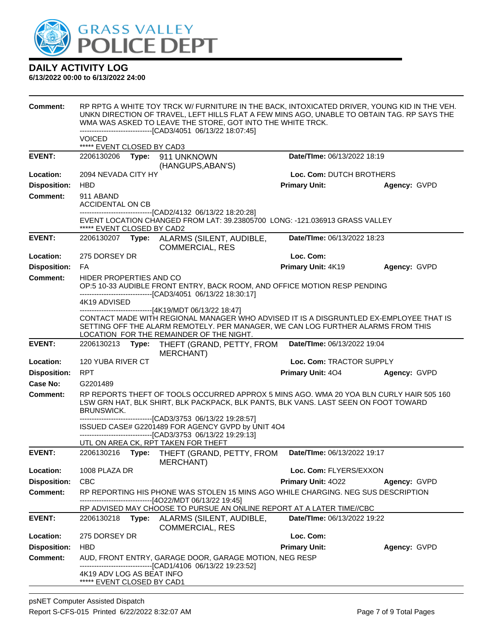

| Comment:            | RP RPTG A WHITE TOY TRCK W/ FURNITURE IN THE BACK, INTOXICATED DRIVER, YOUNG KID IN THE VEH.<br>UNKN DIRECTION OF TRAVEL, LEFT HILLS FLAT A FEW MINS AGO, UNABLE TO OBTAIN TAG. RP SAYS THE<br>WMA WAS ASKED TO LEAVE THE STORE, GOT INTO THE WHITE TRCK.<br>-------------------------------[CAD3/4051_06/13/22 18:07:45]<br>VOICED |       |                                                                                                                                                                                                                                                                                   |                             |              |
|---------------------|-------------------------------------------------------------------------------------------------------------------------------------------------------------------------------------------------------------------------------------------------------------------------------------------------------------------------------------|-------|-----------------------------------------------------------------------------------------------------------------------------------------------------------------------------------------------------------------------------------------------------------------------------------|-----------------------------|--------------|
|                     | ***** EVENT CLOSED BY CAD3                                                                                                                                                                                                                                                                                                          |       |                                                                                                                                                                                                                                                                                   |                             |              |
| <b>EVENT:</b>       | 2206130206                                                                                                                                                                                                                                                                                                                          |       | Type: 911 UNKNOWN<br>(HANGUPS, ABAN'S)                                                                                                                                                                                                                                            | Date/TIme: 06/13/2022 18:19 |              |
| Location:           | 2094 NEVADA CITY HY                                                                                                                                                                                                                                                                                                                 |       |                                                                                                                                                                                                                                                                                   | Loc. Com: DUTCH BROTHERS    |              |
| <b>Disposition:</b> | <b>HBD</b>                                                                                                                                                                                                                                                                                                                          |       |                                                                                                                                                                                                                                                                                   | <b>Primary Unit:</b>        | Agency: GVPD |
| <b>Comment:</b>     | 911 ABAND<br>ACCIDENTAL ON CB                                                                                                                                                                                                                                                                                                       |       | -------------------------[CAD2/4132_06/13/22_18:20:28]                                                                                                                                                                                                                            |                             |              |
|                     | ***** EVENT CLOSED BY CAD2                                                                                                                                                                                                                                                                                                          |       | EVENT LOCATION CHANGED FROM LAT: 39.23805700 LONG: -121.036913 GRASS VALLEY                                                                                                                                                                                                       |                             |              |
| <b>EVENT:</b>       | 2206130207                                                                                                                                                                                                                                                                                                                          | Type: | ALARMS (SILENT, AUDIBLE,<br><b>COMMERCIAL, RES</b>                                                                                                                                                                                                                                | Date/TIme: 06/13/2022 18:23 |              |
| Location:           | 275 DORSEY DR                                                                                                                                                                                                                                                                                                                       |       |                                                                                                                                                                                                                                                                                   | Loc. Com:                   |              |
| <b>Disposition:</b> | FA.                                                                                                                                                                                                                                                                                                                                 |       |                                                                                                                                                                                                                                                                                   | Primary Unit: 4K19          | Agency: GVPD |
| <b>Comment:</b>     | HIDER PROPERTIES AND CO                                                                                                                                                                                                                                                                                                             |       | OP:5 10-33 AUDIBLE FRONT ENTRY, BACK ROOM, AND OFFICE MOTION RESP PENDING<br>-------------------------------[CAD3/4051 06/13/22 18:30:17]                                                                                                                                         |                             |              |
|                     | 4K19 ADVISED                                                                                                                                                                                                                                                                                                                        |       |                                                                                                                                                                                                                                                                                   |                             |              |
|                     |                                                                                                                                                                                                                                                                                                                                     |       | ------------------------------[4K19/MDT 06/13/22 18:47]<br>CONTACT MADE WITH REGIONAL MANAGER WHO ADVISED IT IS A DISGRUNTLED EX-EMPLOYEE THAT IS<br>SETTING OFF THE ALARM REMOTELY. PER MANAGER, WE CAN LOG FURTHER ALARMS FROM THIS<br>LOCATION FOR THE REMAINDER OF THE NIGHT. |                             |              |
| <b>EVENT:</b>       | 2206130213                                                                                                                                                                                                                                                                                                                          | Type: | THEFT (GRAND, PETTY, FROM<br><b>MERCHANT)</b>                                                                                                                                                                                                                                     | Date/TIme: 06/13/2022 19:04 |              |
| Location:           | 120 YUBA RIVER CT                                                                                                                                                                                                                                                                                                                   |       |                                                                                                                                                                                                                                                                                   | Loc. Com: TRACTOR SUPPLY    |              |
| <b>Disposition:</b> | <b>RPT</b>                                                                                                                                                                                                                                                                                                                          |       |                                                                                                                                                                                                                                                                                   | Primary Unit: 404           | Agency: GVPD |
| <b>Case No:</b>     | G2201489                                                                                                                                                                                                                                                                                                                            |       |                                                                                                                                                                                                                                                                                   |                             |              |
| <b>Comment:</b>     | <b>BRUNSWICK.</b>                                                                                                                                                                                                                                                                                                                   |       | RP REPORTS THEFT OF TOOLS OCCURRED APPROX 5 MINS AGO. WMA 20 YOA BLN CURLY HAIR 505 160<br>LSW GRN HAT, BLK SHIRT, BLK PACKPACK, BLK PANTS, BLK VANS. LAST SEEN ON FOOT TOWARD                                                                                                    |                             |              |
|                     |                                                                                                                                                                                                                                                                                                                                     |       | ---------------------------------[CAD3/3753 06/13/22 19:28:57]<br>ISSUED CASE# G2201489 FOR AGENCY GVPD by UNIT 4O4<br>--------------------[CAD3/3753 06/13/22 19:29:13]<br>UTL ON AREA CK, RPT TAKEN FOR THEFT                                                                   |                             |              |
| <b>EVENT:</b>       | 2206130216                                                                                                                                                                                                                                                                                                                          | Type: | THEFT (GRAND, PETTY, FROM                                                                                                                                                                                                                                                         | Date/TIme: 06/13/2022 19:17 |              |
|                     |                                                                                                                                                                                                                                                                                                                                     |       | <b>MERCHANT)</b>                                                                                                                                                                                                                                                                  |                             |              |
| Location:           | 1008 PLAZA DR                                                                                                                                                                                                                                                                                                                       |       |                                                                                                                                                                                                                                                                                   | Loc. Com: FLYERS/EXXON      |              |
| <b>Disposition:</b> | <b>CBC</b>                                                                                                                                                                                                                                                                                                                          |       |                                                                                                                                                                                                                                                                                   | Primary Unit: 4022          | Agency: GVPD |
| <b>Comment:</b>     |                                                                                                                                                                                                                                                                                                                                     |       | RP REPORTING HIS PHONE WAS STOLEN 15 MINS AGO WHILE CHARGING. NEG SUS DESCRIPTION<br>--------------------[4O22/MDT 06/13/22 19:45]                                                                                                                                                |                             |              |
|                     |                                                                                                                                                                                                                                                                                                                                     |       | RP ADVISED MAY CHOOSE TO PURSUE AN ONLINE REPORT AT A LATER TIME//CBC                                                                                                                                                                                                             |                             |              |
| <b>EVENT:</b>       | 2206130218                                                                                                                                                                                                                                                                                                                          | Type: | ALARMS (SILENT, AUDIBLE,<br><b>COMMERCIAL, RES</b>                                                                                                                                                                                                                                | Date/TIme: 06/13/2022 19:22 |              |
| Location:           | 275 DORSEY DR                                                                                                                                                                                                                                                                                                                       |       |                                                                                                                                                                                                                                                                                   | Loc. Com:                   |              |
| <b>Disposition:</b> | <b>HBD</b>                                                                                                                                                                                                                                                                                                                          |       |                                                                                                                                                                                                                                                                                   | <b>Primary Unit:</b>        | Agency: GVPD |
| <b>Comment:</b>     | 4K19 ADV LOG AS BEAT INFO<br>***** EVENT CLOSED BY CAD1                                                                                                                                                                                                                                                                             |       | AUD, FRONT ENTRY, GARAGE DOOR, GARAGE MOTION, NEG RESP<br>---------------[CAD1/4106 06/13/22 19:23:52]                                                                                                                                                                            |                             |              |
|                     |                                                                                                                                                                                                                                                                                                                                     |       |                                                                                                                                                                                                                                                                                   |                             |              |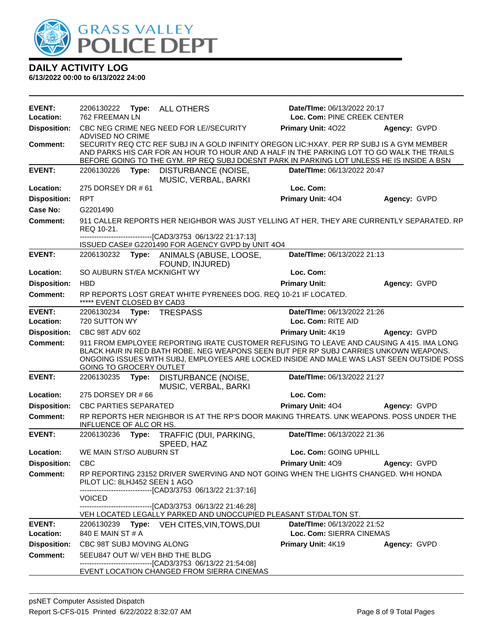

| Type: ALL OTHERS<br>762 FREEMAN LN<br>Loc. Com: PINE CREEK CENTER<br>Location:<br><b>Disposition:</b><br>CBC NEG CRIME NEG NEED FOR LE//SECURITY<br><b>Primary Unit: 4022</b><br>Agency: GVPD<br>ADVISED NO CRIME<br>SECURITY REQ CTC REF SUBJ IN A GOLD INFINITY OREGON LIC: HXAY. PER RP SUBJ IS A GYM MEMBER<br><b>Comment:</b><br>AND PARKS HIS CAR FOR AN HOUR TO HOUR AND A HALF IN THE PARKING LOT TO GO WALK THE TRAILS<br>BEFORE GOING TO THE GYM. RP REQ SUBJ DOESNT PARK IN PARKING LOT UNLESS HE IS INSIDE A BSN<br><b>EVENT:</b><br>DISTURBANCE (NOISE,<br>Date/TIme: 06/13/2022 20:47<br>2206130226<br>Type: |  |
|----------------------------------------------------------------------------------------------------------------------------------------------------------------------------------------------------------------------------------------------------------------------------------------------------------------------------------------------------------------------------------------------------------------------------------------------------------------------------------------------------------------------------------------------------------------------------------------------------------------------------|--|
|                                                                                                                                                                                                                                                                                                                                                                                                                                                                                                                                                                                                                            |  |
|                                                                                                                                                                                                                                                                                                                                                                                                                                                                                                                                                                                                                            |  |
|                                                                                                                                                                                                                                                                                                                                                                                                                                                                                                                                                                                                                            |  |
| MUSIC, VERBAL, BARKI                                                                                                                                                                                                                                                                                                                                                                                                                                                                                                                                                                                                       |  |
| 275 DORSEY DR # 61<br>Loc. Com:<br>Location:                                                                                                                                                                                                                                                                                                                                                                                                                                                                                                                                                                               |  |
| <b>Disposition:</b><br><b>RPT</b><br>Primary Unit: 404<br>Agency: GVPD                                                                                                                                                                                                                                                                                                                                                                                                                                                                                                                                                     |  |
| <b>Case No:</b><br>G2201490                                                                                                                                                                                                                                                                                                                                                                                                                                                                                                                                                                                                |  |
| <b>Comment:</b><br>911 CALLER REPORTS HER NEIGHBOR WAS JUST YELLING AT HER, THEY ARE CURRENTLY SEPARATED. RP<br>REQ 10-21.                                                                                                                                                                                                                                                                                                                                                                                                                                                                                                 |  |
| ----------------------------[CAD3/3753_06/13/22_21:17:13]<br>ISSUED CASE# G2201490 FOR AGENCY GVPD by UNIT 4O4                                                                                                                                                                                                                                                                                                                                                                                                                                                                                                             |  |
| <b>EVENT:</b><br>Date/TIme: 06/13/2022 21:13<br>2206130232<br>Type: ANIMALS (ABUSE, LOOSE,<br>FOUND, INJURED)                                                                                                                                                                                                                                                                                                                                                                                                                                                                                                              |  |
| SO AUBURN ST/EA MCKNIGHT WY<br>Loc. Com:<br>Location:                                                                                                                                                                                                                                                                                                                                                                                                                                                                                                                                                                      |  |
| <b>Disposition:</b><br><b>HBD</b><br><b>Primary Unit:</b><br>Agency: GVPD                                                                                                                                                                                                                                                                                                                                                                                                                                                                                                                                                  |  |
| RP REPORTS LOST GREAT WHITE PYRENEES DOG. REQ 10-21 IF LOCATED.<br><b>Comment:</b><br>***** EVENT CLOSED BY CAD3                                                                                                                                                                                                                                                                                                                                                                                                                                                                                                           |  |
| <b>EVENT:</b><br><b>TRESPASS</b><br>Date/TIme: 06/13/2022 21:26<br>2206130234<br>Type:<br>720 SUTTON WY<br>Loc. Com: RITE AID<br>Location:                                                                                                                                                                                                                                                                                                                                                                                                                                                                                 |  |
| <b>Disposition:</b><br>CBC 98T ADV 602<br>Primary Unit: 4K19<br>Agency: GVPD                                                                                                                                                                                                                                                                                                                                                                                                                                                                                                                                               |  |
| <b>Comment:</b><br>911 FROM EMPLOYEE REPORTING IRATE CUSTOMER REFUSING TO LEAVE AND CAUSING A 415. IMA LONG<br>BLACK HAIR IN RED BATH ROBE. NEG WEAPONS SEEN BUT PER RP SUBJ CARRIES UNKOWN WEAPONS.<br>ONGOING ISSUES WITH SUBJ, EMPLOYEES ARE LOCKED INSIDE AND MALE WAS LAST SEEN OUTSIDE POSS<br><b>GOING TO GROCERY OUTLET</b>                                                                                                                                                                                                                                                                                        |  |
| <b>EVENT:</b><br>Date/TIme: 06/13/2022 21:27<br>2206130235<br>Type:<br>DISTURBANCE (NOISE,<br>MUSIC, VERBAL, BARKI                                                                                                                                                                                                                                                                                                                                                                                                                                                                                                         |  |
| Loc. Com:<br>Location:<br>275 DORSEY DR #66                                                                                                                                                                                                                                                                                                                                                                                                                                                                                                                                                                                |  |
| <b>Disposition:</b><br><b>CBC PARTIES SEPARATED</b><br><b>Primary Unit: 404</b><br>Agency: GVPD                                                                                                                                                                                                                                                                                                                                                                                                                                                                                                                            |  |
| RP REPORTS HER NEIGHBOR IS AT THE RP'S DOOR MAKING THREATS. UNK WEAPONS. POSS UNDER THE<br><b>Comment:</b><br>INFLUENCE OF ALC OR HS.                                                                                                                                                                                                                                                                                                                                                                                                                                                                                      |  |
| <b>EVENT:</b><br>2206130236<br>TRAFFIC (DUI, PARKING,<br>Date/TIme: 06/13/2022 21:36<br>Type:<br>SPEED, HAZ                                                                                                                                                                                                                                                                                                                                                                                                                                                                                                                |  |
| WE MAIN ST/SO AUBURN ST<br>Loc. Com: GOING UPHILL<br>Location:                                                                                                                                                                                                                                                                                                                                                                                                                                                                                                                                                             |  |
| CBC<br><b>Disposition:</b><br><b>Primary Unit: 409</b><br>Agency: GVPD                                                                                                                                                                                                                                                                                                                                                                                                                                                                                                                                                     |  |
| RP REPORTING 23152 DRIVER SWERVING AND NOT GOING WHEN THE LIGHTS CHANGED. WHI HONDA<br><b>Comment:</b><br>PILOT LIC: 8LHJ452 SEEN 1 AGO<br>--------------------------[CAD3/3753_06/13/22 21:37:16]<br>VOICED.                                                                                                                                                                                                                                                                                                                                                                                                              |  |
| -------------------------------[CAD3/3753 06/13/22 21:46:28]<br>VEH LOCATED LEGALLY PARKED AND UNOCCUPIED PLEASANT ST/DALTON ST.                                                                                                                                                                                                                                                                                                                                                                                                                                                                                           |  |
| <b>EVENT:</b><br>Date/TIme: 06/13/2022 21:52<br>2206130239 Type: VEH CITES, VIN, TOWS, DUI                                                                                                                                                                                                                                                                                                                                                                                                                                                                                                                                 |  |
| Loc. Com: SIERRA CINEMAS<br>Location:<br>840 E MAIN ST # A                                                                                                                                                                                                                                                                                                                                                                                                                                                                                                                                                                 |  |
| <b>Disposition:</b><br>CBC 98T SUBJ MOVING ALONG<br>Primary Unit: 4K19<br>Agency: GVPD                                                                                                                                                                                                                                                                                                                                                                                                                                                                                                                                     |  |
| <b>Comment:</b><br>5EEU847 OUT W/ VEH BHD THE BLDG<br>-----------------------[CAD3/3753_06/13/22 21:54:08]<br>EVENT LOCATION CHANGED FROM SIERRA CINEMAS                                                                                                                                                                                                                                                                                                                                                                                                                                                                   |  |